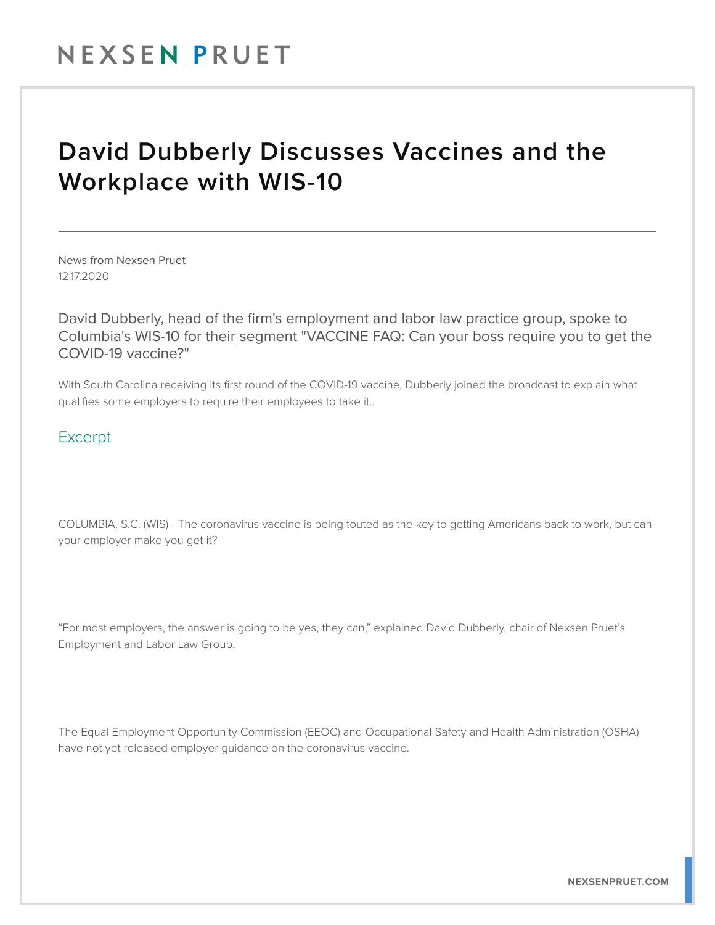## NEXSENPRUET

## David Dubberly Discusses Vaccines and the Workplace with WIS-10

News from Nexsen Pruet 12.17.2020

David Dubberly, head of the firm's employment and labor law practice group, spoke to Columbia's WIS-10 for their segment "VACCINE FAQ: Can your boss require you to get the COVID-19 vaccine?"

With South Carolina receiving its first round of the COVID-19 vaccine, Dubberly joined the broadcast to explain what qualifies some employers to require their employees to take it..

## Excerpt

COLUMBIA, S.C. (WIS) - The coronavirus vaccine is being touted as the key to getting Americans back to work, but can your employer make you get it?

"For most employers, the answer is going to be yes, they can," explained David Dubberly, chair of Nexsen Pruet's Employment and Labor Law Group.

The Equal Employment Opportunity Commission (EEOC) and Occupational Safety and Health Administration (OSHA) have not yet released employer guidance on the coronavirus vaccine.